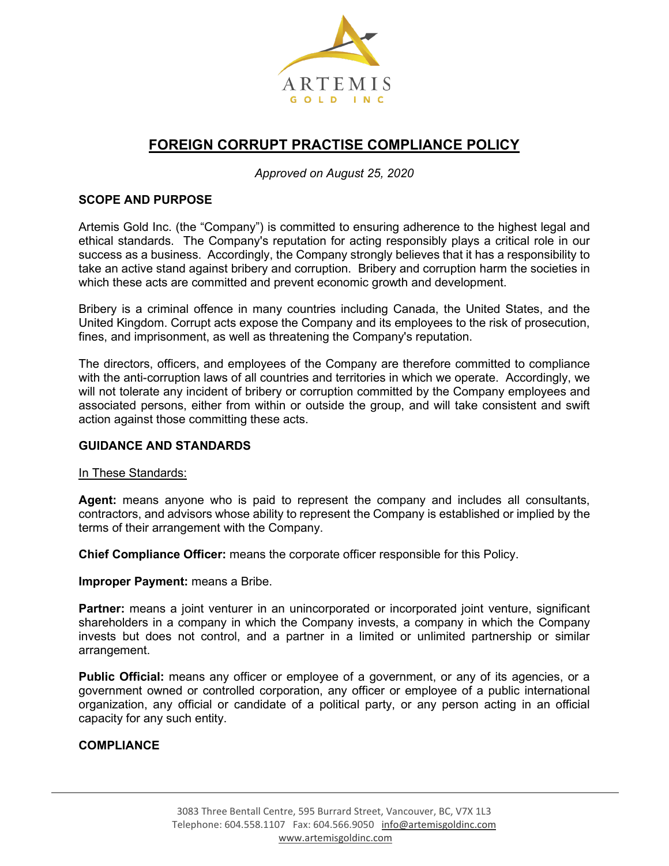

# **FOREIGN CORRUPT PRACTISE COMPLIANCE POLICY**

*Approved on August 25, 2020*

# **SCOPE AND PURPOSE**

Artemis Gold Inc. (the "Company") is committed to ensuring adherence to the highest legal and ethical standards. The Company's reputation for acting responsibly plays a critical role in our success as a business. Accordingly, the Company strongly believes that it has a responsibility to take an active stand against bribery and corruption. Bribery and corruption harm the societies in which these acts are committed and prevent economic growth and development.

Bribery is a criminal offence in many countries including Canada, the United States, and the United Kingdom. Corrupt acts expose the Company and its employees to the risk of prosecution, fines, and imprisonment, as well as threatening the Company's reputation.

The directors, officers, and employees of the Company are therefore committed to compliance with the anti-corruption laws of all countries and territories in which we operate. Accordingly, we will not tolerate any incident of bribery or corruption committed by the Company employees and associated persons, either from within or outside the group, and will take consistent and swift action against those committing these acts.

#### **GUIDANCE AND STANDARDS**

#### In These Standards:

**Agent:** means anyone who is paid to represent the company and includes all consultants, contractors, and advisors whose ability to represent the Company is established or implied by the terms of their arrangement with the Company.

**Chief Compliance Officer:** means the corporate officer responsible for this Policy.

**Improper Payment:** means a Bribe.

**Partner:** means a joint venturer in an unincorporated or incorporated joint venture, significant shareholders in a company in which the Company invests, a company in which the Company invests but does not control, and a partner in a limited or unlimited partnership or similar arrangement.

**Public Official:** means any officer or employee of a government, or any of its agencies, or a government owned or controlled corporation, any officer or employee of a public international organization, any official or candidate of a political party, or any person acting in an official capacity for any such entity.

#### **COMPLIANCE**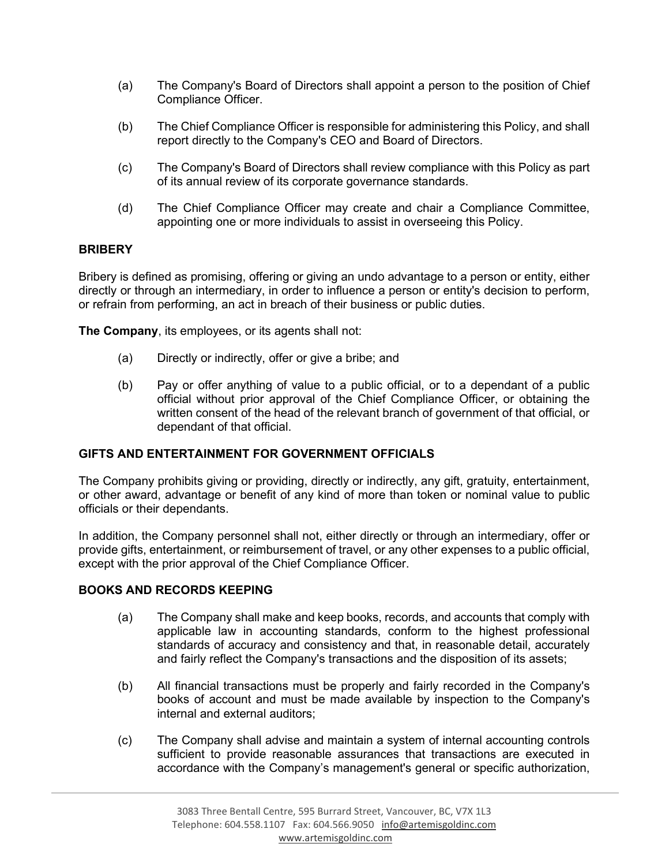- (a) The Company's Board of Directors shall appoint a person to the position of Chief Compliance Officer.
- (b) The Chief Compliance Officer is responsible for administering this Policy, and shall report directly to the Company's CEO and Board of Directors.
- (c) The Company's Board of Directors shall review compliance with this Policy as part of its annual review of its corporate governance standards.
- (d) The Chief Compliance Officer may create and chair a Compliance Committee, appointing one or more individuals to assist in overseeing this Policy.

# **BRIBERY**

Bribery is defined as promising, offering or giving an undo advantage to a person or entity, either directly or through an intermediary, in order to influence a person or entity's decision to perform, or refrain from performing, an act in breach of their business or public duties.

**The Company**, its employees, or its agents shall not:

- (a) Directly or indirectly, offer or give a bribe; and
- (b) Pay or offer anything of value to a public official, or to a dependant of a public official without prior approval of the Chief Compliance Officer, or obtaining the written consent of the head of the relevant branch of government of that official, or dependant of that official.

# **GIFTS AND ENTERTAINMENT FOR GOVERNMENT OFFICIALS**

The Company prohibits giving or providing, directly or indirectly, any gift, gratuity, entertainment, or other award, advantage or benefit of any kind of more than token or nominal value to public officials or their dependants.

In addition, the Company personnel shall not, either directly or through an intermediary, offer or provide gifts, entertainment, or reimbursement of travel, or any other expenses to a public official, except with the prior approval of the Chief Compliance Officer.

## **BOOKS AND RECORDS KEEPING**

- (a) The Company shall make and keep books, records, and accounts that comply with applicable law in accounting standards, conform to the highest professional standards of accuracy and consistency and that, in reasonable detail, accurately and fairly reflect the Company's transactions and the disposition of its assets;
- (b) All financial transactions must be properly and fairly recorded in the Company's books of account and must be made available by inspection to the Company's internal and external auditors;
- (c) The Company shall advise and maintain a system of internal accounting controls sufficient to provide reasonable assurances that transactions are executed in accordance with the Company's management's general or specific authorization,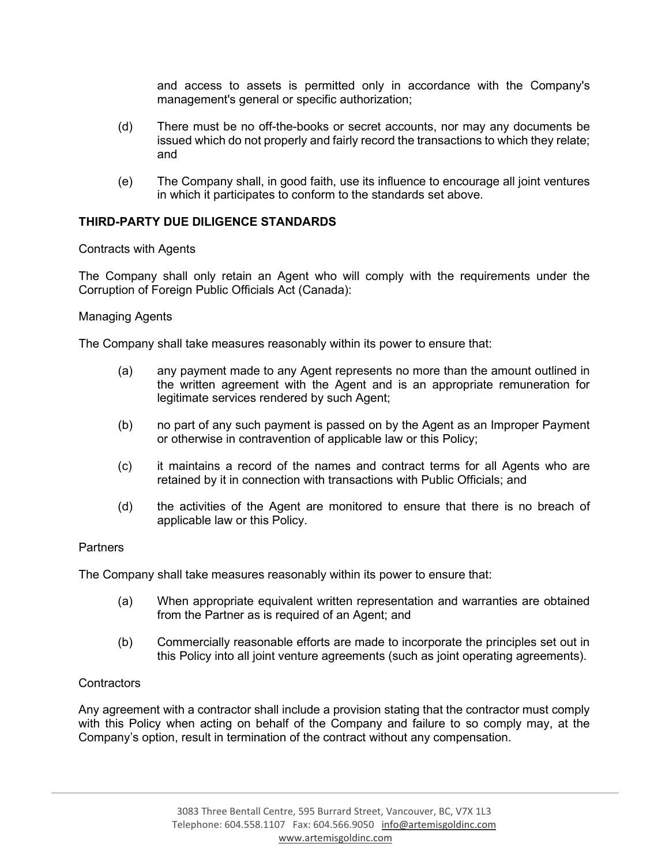and access to assets is permitted only in accordance with the Company's management's general or specific authorization;

- (d) There must be no off-the-books or secret accounts, nor may any documents be issued which do not properly and fairly record the transactions to which they relate; and
- (e) The Company shall, in good faith, use its influence to encourage all joint ventures in which it participates to conform to the standards set above.

# **THIRD-PARTY DUE DILIGENCE STANDARDS**

Contracts with Agents

The Company shall only retain an Agent who will comply with the requirements under the Corruption of Foreign Public Officials Act (Canada):

#### Managing Agents

The Company shall take measures reasonably within its power to ensure that:

- (a) any payment made to any Agent represents no more than the amount outlined in the written agreement with the Agent and is an appropriate remuneration for legitimate services rendered by such Agent;
- (b) no part of any such payment is passed on by the Agent as an Improper Payment or otherwise in contravention of applicable law or this Policy;
- (c) it maintains a record of the names and contract terms for all Agents who are retained by it in connection with transactions with Public Officials; and
- (d) the activities of the Agent are monitored to ensure that there is no breach of applicable law or this Policy.

#### **Partners**

The Company shall take measures reasonably within its power to ensure that:

- (a) When appropriate equivalent written representation and warranties are obtained from the Partner as is required of an Agent; and
- (b) Commercially reasonable efforts are made to incorporate the principles set out in this Policy into all joint venture agreements (such as joint operating agreements).

#### **Contractors**

Any agreement with a contractor shall include a provision stating that the contractor must comply with this Policy when acting on behalf of the Company and failure to so comply may, at the Company's option, result in termination of the contract without any compensation.